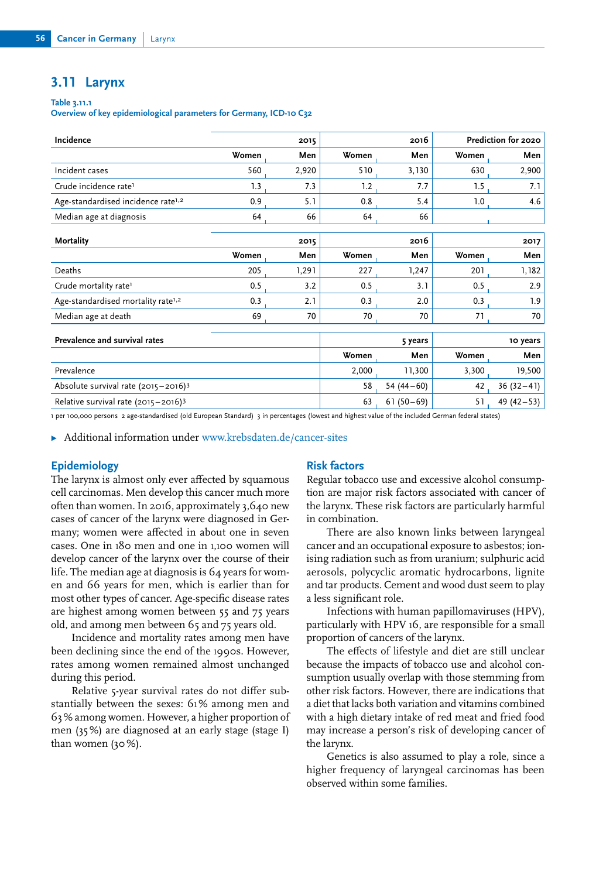## **3.11 Larynx**

#### **Table 3.11.1**

**Overview of key epidemiological parameters for Germany, ICD-10 C32**

| Incidence                                       |       | 2015  |       | 2016         | Prediction for 2020 |              |
|-------------------------------------------------|-------|-------|-------|--------------|---------------------|--------------|
|                                                 | Women | Men   | Women | Men          | Women               | Men          |
| Incident cases                                  | 560   | 2,920 | 510   | 3,130        | 630                 | 2,900        |
| Crude incidence rate <sup>1</sup>               | 1.3   | 7.3   | 1.2   | 7.7          | 1.5                 | 7.1          |
| Age-standardised incidence rate <sup>1,2</sup>  | 0.9   | 5.1   | 0.8   | 5.4          | 1.0                 | 4.6          |
| Median age at diagnosis                         | 64    | 66    | 64    | 66           |                     |              |
|                                                 |       |       |       |              |                     |              |
| Mortality                                       |       | 2015  |       | 2016         | 2017                |              |
|                                                 | Women | Men   | Women | Men          | Women               | Men          |
| Deaths                                          | 205   | 1,291 | 227   | 1,247        | 201                 | 1,182        |
| Crude mortality rate <sup>1</sup>               | 0.5   | 3.2   | 0.5   | 3.1          | 0.5                 | 2.9          |
| Age-standardised mortality rate <sup>1,2</sup>  | 0.3   | 2.1   | 0.3   | 2.0          | 0.3                 | 1.9          |
| Median age at death                             | 69    | 70    | 70    | 70           | 71                  | 70           |
|                                                 |       |       |       |              |                     |              |
| Prevalence and survival rates                   |       |       |       | 5 years      | 10 years            |              |
|                                                 |       |       | Women | Men          | Women               | Men          |
| Prevalence                                      |       |       | 2,000 | 11,300       | 3,300               | 19,500       |
| Absolute survival rate (2015-2016) <sup>3</sup> |       |       | 58    | 54 $(44-60)$ | 42                  | $36(32-41)$  |
| Relative survival rate $(2015 - 2016)^3$        |       |       | 63    | $61(50-69)$  | 51                  | 49 $(42-53)$ |

1 per 100,000 persons 2 age-standardised (old European Standard) 3 in percentages (lowest and highest value of the included German federal states)

▶ Additional information under [www.krebsdaten.de/cancer](https://www.krebsdaten.de/cancer-sites)-sites

## **Epidemiology**

The larynx is almost only ever affected by squamous cell carcinomas. Men develop this cancer much more often than women. In 2016, approximately 3,640 new cases of cancer of the larynx were diagnosed in Germany; women were affected in about one in seven cases. One in 180 men and one in 1,100 women will develop cancer of the larynx over the course of their life. The median age at diagnosis is 64 years for women and 66 years for men, which is earlier than for most other types of cancer. Age-specific disease rates are highest among women between 55 and 75 years old, and among men between 65 and 75 years old.

Incidence and mortality rates among men have been declining since the end of the 1990s. However, rates among women remained almost unchanged during this period.

Relative 5-year survival rates do not differ substantially between the sexes: 61 % among men and 63 % among women. However, a higher proportion of men (35 %) are diagnosed at an early stage (stage I) than women (30 %).

## **Risk factors**

Regular tobacco use and excessive alcohol consumption are major risk factors associated with cancer of the larynx. These risk factors are particularly harmful in combination.

There are also known links between laryngeal cancer and an occupational exposure to asbestos; ionising radiation such as from uranium; sulphuric acid aerosols, polycyclic aromatic hydrocarbons, lignite and tar products. Cement and wood dust seem to play a less significant role.

Infections with human papillomaviruses (HPV), particularly with HPV 16, are responsible for a small proportion of cancers of the larynx.

The effects of lifestyle and diet are still unclear because the impacts of tobacco use and alcohol consumption usually overlap with those stemming from other risk factors. However, there are indications that a diet that lacks both variation and vitamins combined with a high dietary intake of red meat and fried food may increase a person's risk of developing cancer of the larynx.

Genetics is also assumed to play a role, since a higher frequency of laryngeal carcinomas has been observed within some families.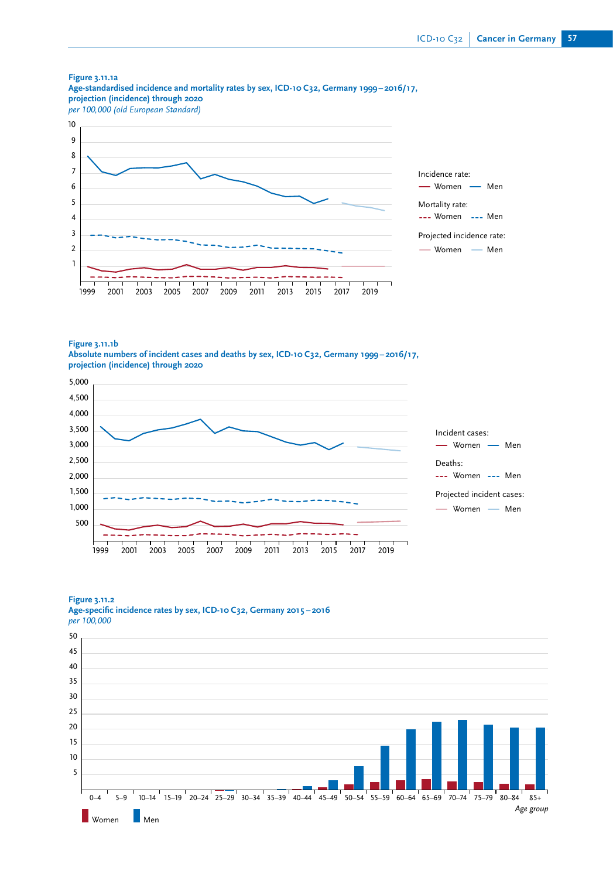

**Figure 3.11.1b**

**Absolute numbers of incident cases and deaths by sex, ICD-10 C32, Germany 1999 – 2016/17, projection (incidence) through 2020**



#### **Figure 3.11.2**



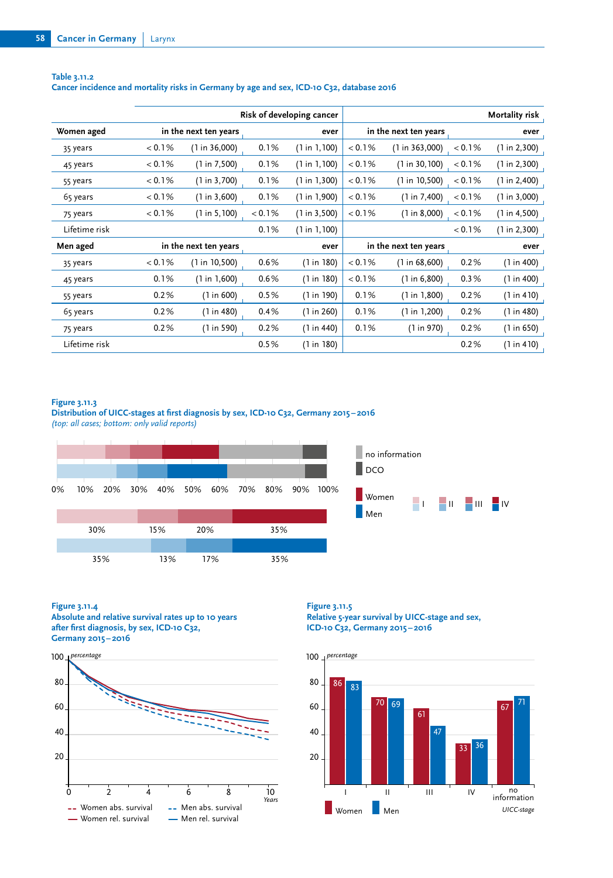|               | Risk of developing cancer |                |        |               | Mortality risk        |                       |         |               |
|---------------|---------------------------|----------------|--------|---------------|-----------------------|-----------------------|---------|---------------|
| Women aged    | in the next ten years     |                |        | ever          |                       | in the next ten years |         | ever          |
| 35 years      | < 0.1%                    | (1 in 36,000)  | 0.1%   | (1 in 1, 100) | < 0.1%                | (1 in 363,000)        | < 0.1%  | (1 in 2,300)  |
| 45 years      | < 0.1%                    | (1 in 7,500)   | 0.1%   | (1 in 1, 100) | < 0.1%                | (1 in 30, 100)        | < 0.1%  | (1 in 2,300)  |
| 55 years      | < 0.1%                    | (1 in 3,700)   | 0.1%   | (1 in 1, 300) | < 0.1%                | (1 in 10, 500)        | < 0.1%  | (1 in 2,400)  |
| 65 years      | < 0.1%                    | (1 in 3,600)   | 0.1%   | (1 in 1,900)  | < 0.1%                | (1 in 7,400)          | $0.1\%$ | (1 in 3,000)  |
| 75 years      | < 0.1%                    | (1 in 5, 100)  | < 0.1% | (1 in 3,500)  | < 0.1%                | (1 in 8,000)          | < 0.1%  | (1 in 4, 500) |
| Lifetime risk |                           |                | 0.1%   | (1 in 1, 100) |                       |                       | < 0.1%  | (1 in 2,300)  |
| Men aged      | in the next ten years     |                |        | ever          | in the next ten years |                       |         | ever          |
| 35 years      | < 0.1%                    | (1 in 10, 500) | 0.6%   | (1 in 180)    | < 0.1%                | (1 in 68,600)         | 0.2%    | (1 in 400)    |
| 45 years      | 0.1%                      | (1 in 1,600)   | 0.6%   | (1 in 180)    | < 0.1%                | (1 in 6,800)          | 0.3%    | (1 in 400)    |
| 55 years      | 0.2%                      | (1 in 600)     | 0.5%   | (1 in 190)    | 0.1%                  | (1 in 1,800)          | 0.2%    | (1 in 410)    |
| 65 years      | 0.2%                      | (1 in 480)     | 0.4%   | (1 in 260)    | 0.1%                  | (1 in 1, 200)         | 0.2%    | (1 in 480)    |
| 75 years      | 0.2%                      | (1 in 590)     | 0.2%   | (1 in 440)    | 0.1%                  | (1 in 970)            | 0.2%    | (1 in 650)    |
| Lifetime risk |                           |                | 0.5%   | (1 in 180)    |                       |                       | 0.2%    | (1 in 410)    |

## **Table 3.11.2 Cancer incidence and mortality risks in Germany by age and sex, ICD-10 C32, database 2016**

## **Figure 3.11.3**

Distribution of UICC-stages at first diagnosis by sex, ICD-10 C32, Germany 2015-2016 *(top: all cases; bottom: only valid reports)*



## **Figure 3.11.4**

**Absolute and relative survival rates up to 10 years**  after first diagnosis, by sex, ICD-10 C32, **Germany 2015 – 2016**



# **Figure 3.11.5**

**Relative 5-year survival by UICC-stage and sex, ICD-10 C32, Germany 2015 – 2016**